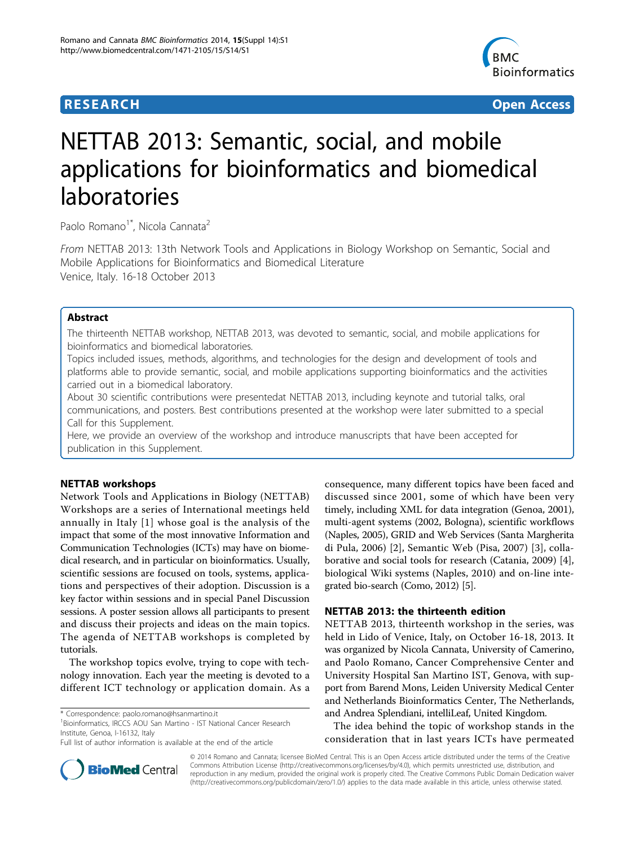## **RESEARCH CONSTRUCTION CONTROL**



# NETTAB 2013: Semantic, social, and mobile applications for bioinformatics and biomedical laboratories

Paolo Romano<sup>1\*</sup>, Nicola Cannata<sup>2</sup>

From NETTAB 2013: 13th Network Tools and Applications in Biology Workshop on Semantic, Social and Mobile Applications for Bioinformatics and Biomedical Literature Venice, Italy. 16-18 October 2013

## Abstract

The thirteenth NETTAB workshop, NETTAB 2013, was devoted to semantic, social, and mobile applications for bioinformatics and biomedical laboratories.

Topics included issues, methods, algorithms, and technologies for the design and development of tools and platforms able to provide semantic, social, and mobile applications supporting bioinformatics and the activities carried out in a biomedical laboratory.

About 30 scientific contributions were presentedat NETTAB 2013, including keynote and tutorial talks, oral communications, and posters. Best contributions presented at the workshop were later submitted to a special Call for this Supplement.

Here, we provide an overview of the workshop and introduce manuscripts that have been accepted for publication in this Supplement.

## NETTAB workshops

Network Tools and Applications in Biology (NETTAB) Workshops are a series of International meetings held annually in Italy [[1](#page-3-0)] whose goal is the analysis of the impact that some of the most innovative Information and Communication Technologies (ICTs) may have on biomedical research, and in particular on bioinformatics. Usually, scientific sessions are focused on tools, systems, applications and perspectives of their adoption. Discussion is a key factor within sessions and in special Panel Discussion sessions. A poster session allows all participants to present and discuss their projects and ideas on the main topics. The agenda of NETTAB workshops is completed by tutorials.

The workshop topics evolve, trying to cope with technology innovation. Each year the meeting is devoted to a different ICT technology or application domain. As a

<sup>1</sup> Bioinformatics, IRCCS AOU San Martino - IST National Cancer Research Institute, Genoa, I-16132, Italy

consequence, many different topics have been faced and discussed since 2001, some of which have been very timely, including XML for data integration (Genoa, 2001), multi-agent systems (2002, Bologna), scientific workflows (Naples, 2005), GRID and Web Services (Santa Margherita di Pula, 2006) [[2\]](#page-3-0), Semantic Web (Pisa, 2007) [[3\]](#page-3-0), collaborative and social tools for research (Catania, 2009) [\[4](#page-3-0)], biological Wiki systems (Naples, 2010) and on-line integrated bio-search (Como, 2012) [\[5](#page-3-0)].

## NETTAB 2013: the thirteenth edition

NETTAB 2013, thirteenth workshop in the series, was held in Lido of Venice, Italy, on October 16-18, 2013. It was organized by Nicola Cannata, University of Camerino, and Paolo Romano, Cancer Comprehensive Center and University Hospital San Martino IST, Genova, with support from Barend Mons, Leiden University Medical Center and Netherlands Bioinformatics Center, The Netherlands, and Andrea Splendiani, intelliLeaf, United Kingdom.

The idea behind the topic of workshop stands in the consideration that in last years ICTs have permeated



© 2014 Romano and Cannata; licensee BioMed Central. This is an Open Access article distributed under the terms of the Creative Commons Attribution License [\(http://creativecommons.org/licenses/by/4.0](http://creativecommons.org/licenses/by/4.0)), which permits unrestricted use, distribution, and reproduction in any medium, provided the original work is properly cited. The Creative Commons Public Domain Dedication waiver [\(http://creativecommons.org/publicdomain/zero/1.0/](http://creativecommons.org/publicdomain/zero/1.0/)) applies to the data made available in this article, unless otherwise stated.

<sup>\*</sup> Correspondence: [paolo.romano@hsanmartino.it](mailto:paolo.romano@hsanmartino.it)

Full list of author information is available at the end of the article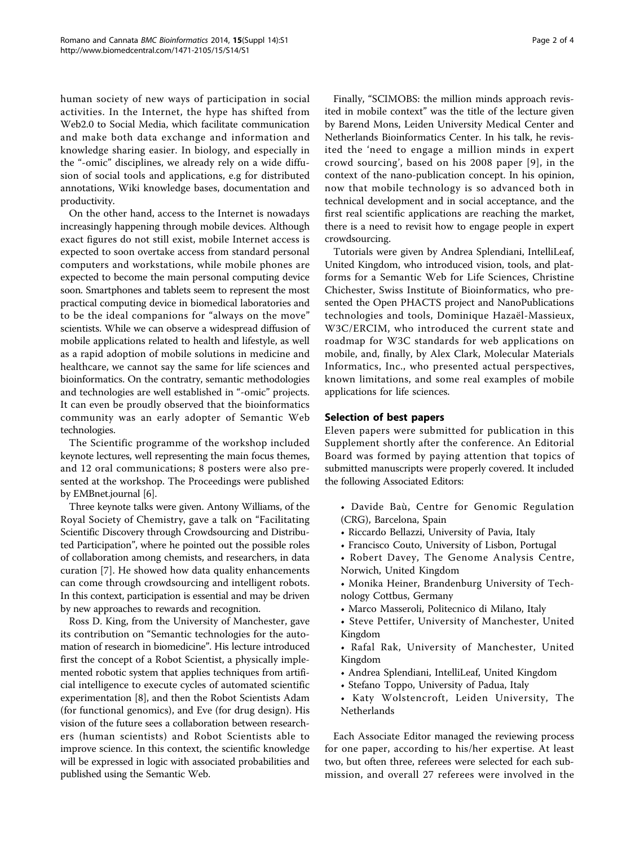human society of new ways of participation in social activities. In the Internet, the hype has shifted from Web2.0 to Social Media, which facilitate communication and make both data exchange and information and knowledge sharing easier. In biology, and especially in the "-omic" disciplines, we already rely on a wide diffusion of social tools and applications, e.g for distributed annotations, Wiki knowledge bases, documentation and productivity.

On the other hand, access to the Internet is nowadays increasingly happening through mobile devices. Although exact figures do not still exist, mobile Internet access is expected to soon overtake access from standard personal computers and workstations, while mobile phones are expected to become the main personal computing device soon. Smartphones and tablets seem to represent the most practical computing device in biomedical laboratories and to be the ideal companions for "always on the move" scientists. While we can observe a widespread diffusion of mobile applications related to health and lifestyle, as well as a rapid adoption of mobile solutions in medicine and healthcare, we cannot say the same for life sciences and bioinformatics. On the contratry, semantic methodologies and technologies are well established in "-omic" projects. It can even be proudly observed that the bioinformatics community was an early adopter of Semantic Web technologies.

The Scientific programme of the workshop included keynote lectures, well representing the main focus themes, and 12 oral communications; 8 posters were also presented at the workshop. The Proceedings were published by EMBnet.journal [\[6](#page-3-0)].

Three keynote talks were given. Antony Williams, of the Royal Society of Chemistry, gave a talk on "Facilitating Scientific Discovery through Crowdsourcing and Distributed Participation", where he pointed out the possible roles of collaboration among chemists, and researchers, in data curation [\[7](#page-3-0)]. He showed how data quality enhancements can come through crowdsourcing and intelligent robots. In this context, participation is essential and may be driven by new approaches to rewards and recognition.

Ross D. King, from the University of Manchester, gave its contribution on "Semantic technologies for the automation of research in biomedicine". His lecture introduced first the concept of a Robot Scientist, a physically implemented robotic system that applies techniques from artificial intelligence to execute cycles of automated scientific experimentation [[8](#page-3-0)], and then the Robot Scientists Adam (for functional genomics), and Eve (for drug design). His vision of the future sees a collaboration between researchers (human scientists) and Robot Scientists able to improve science. In this context, the scientific knowledge will be expressed in logic with associated probabilities and published using the Semantic Web.

Finally, "SCIMOBS: the million minds approach revisited in mobile context" was the title of the lecture given by Barend Mons, Leiden University Medical Center and Netherlands Bioinformatics Center. In his talk, he revisited the 'need to engage a million minds in expert crowd sourcing', based on his 2008 paper [[9\]](#page-3-0), in the context of the nano-publication concept. In his opinion, now that mobile technology is so advanced both in technical development and in social acceptance, and the first real scientific applications are reaching the market, there is a need to revisit how to engage people in expert crowdsourcing.

Tutorials were given by Andrea Splendiani, IntelliLeaf, United Kingdom, who introduced vision, tools, and platforms for a Semantic Web for Life Sciences, Christine Chichester, Swiss Institute of Bioinformatics, who presented the Open PHACTS project and NanoPublications technologies and tools, Dominique Hazaël-Massieux, W3C/ERCIM, who introduced the current state and roadmap for W3C standards for web applications on mobile, and, finally, by Alex Clark, Molecular Materials Informatics, Inc., who presented actual perspectives, known limitations, and some real examples of mobile applications for life sciences.

## Selection of best papers

Eleven papers were submitted for publication in this Supplement shortly after the conference. An Editorial Board was formed by paying attention that topics of submitted manuscripts were properly covered. It included the following Associated Editors:

- Davide Baù, Centre for Genomic Regulation (CRG), Barcelona, Spain
- Riccardo Bellazzi, University of Pavia, Italy
- Francisco Couto, University of Lisbon, Portugal
- Robert Davey, The Genome Analysis Centre, Norwich, United Kingdom
- Monika Heiner, Brandenburg University of Technology Cottbus, Germany
- Marco Masseroli, Politecnico di Milano, Italy
- Steve Pettifer, University of Manchester, United Kingdom
- Rafal Rak, University of Manchester, United Kingdom
- Andrea Splendiani, IntelliLeaf, United Kingdom
- Stefano Toppo, University of Padua, Italy
- Katy Wolstencroft, Leiden University, The Netherlands

Each Associate Editor managed the reviewing process for one paper, according to his/her expertise. At least two, but often three, referees were selected for each submission, and overall 27 referees were involved in the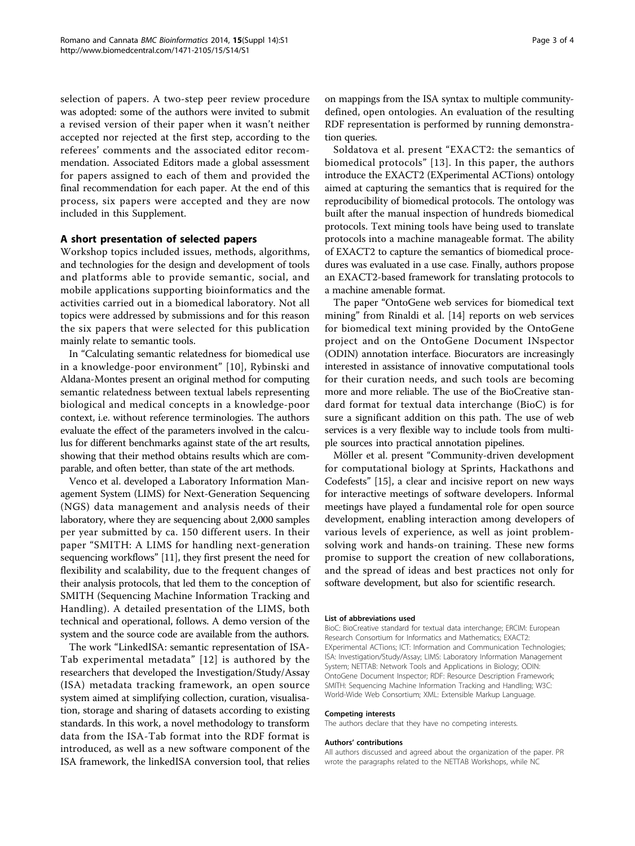selection of papers. A two-step peer review procedure was adopted: some of the authors were invited to submit a revised version of their paper when it wasn't neither accepted nor rejected at the first step, according to the referees' comments and the associated editor recommendation. Associated Editors made a global assessment for papers assigned to each of them and provided the final recommendation for each paper. At the end of this process, six papers were accepted and they are now included in this Supplement.

## A short presentation of selected papers

Workshop topics included issues, methods, algorithms, and technologies for the design and development of tools and platforms able to provide semantic, social, and mobile applications supporting bioinformatics and the activities carried out in a biomedical laboratory. Not all topics were addressed by submissions and for this reason the six papers that were selected for this publication mainly relate to semantic tools.

In "Calculating semantic relatedness for biomedical use in a knowledge-poor environment" [\[10\]](#page-3-0), Rybinski and Aldana-Montes present an original method for computing semantic relatedness between textual labels representing biological and medical concepts in a knowledge-poor context, i.e. without reference terminologies. The authors evaluate the effect of the parameters involved in the calculus for different benchmarks against state of the art results, showing that their method obtains results which are comparable, and often better, than state of the art methods.

Venco et al. developed a Laboratory Information Management System (LIMS) for Next-Generation Sequencing (NGS) data management and analysis needs of their laboratory, where they are sequencing about 2,000 samples per year submitted by ca. 150 different users. In their paper "SMITH: A LIMS for handling next-generation sequencing workflows" [\[11\]](#page-3-0), they first present the need for flexibility and scalability, due to the frequent changes of their analysis protocols, that led them to the conception of SMITH (Sequencing Machine Information Tracking and Handling). A detailed presentation of the LIMS, both technical and operational, follows. A demo version of the system and the source code are available from the authors.

The work "LinkedISA: semantic representation of ISA-Tab experimental metadata" [[12](#page-3-0)] is authored by the researchers that developed the Investigation/Study/Assay (ISA) metadata tracking framework, an open source system aimed at simplifying collection, curation, visualisation, storage and sharing of datasets according to existing standards. In this work, a novel methodology to transform data from the ISA-Tab format into the RDF format is introduced, as well as a new software component of the ISA framework, the linkedISA conversion tool, that relies on mappings from the ISA syntax to multiple communitydefined, open ontologies. An evaluation of the resulting RDF representation is performed by running demonstration queries.

Soldatova et al. present "EXACT2: the semantics of biomedical protocols" [[13\]](#page-3-0). In this paper, the authors introduce the EXACT2 (EXperimental ACTions) ontology aimed at capturing the semantics that is required for the reproducibility of biomedical protocols. The ontology was built after the manual inspection of hundreds biomedical protocols. Text mining tools have being used to translate protocols into a machine manageable format. The ability of EXACT2 to capture the semantics of biomedical procedures was evaluated in a use case. Finally, authors propose an EXACT2-based framework for translating protocols to a machine amenable format.

The paper "OntoGene web services for biomedical text mining" from Rinaldi et al. [[14\]](#page-3-0) reports on web services for biomedical text mining provided by the OntoGene project and on the OntoGene Document INspector (ODIN) annotation interface. Biocurators are increasingly interested in assistance of innovative computational tools for their curation needs, and such tools are becoming more and more reliable. The use of the BioCreative standard format for textual data interchange (BioC) is for sure a significant addition on this path. The use of web services is a very flexible way to include tools from multiple sources into practical annotation pipelines.

Möller et al. present "Community-driven development for computational biology at Sprints, Hackathons and Codefests" [[15](#page-3-0)], a clear and incisive report on new ways for interactive meetings of software developers. Informal meetings have played a fundamental role for open source development, enabling interaction among developers of various levels of experience, as well as joint problemsolving work and hands-on training. These new forms promise to support the creation of new collaborations, and the spread of ideas and best practices not only for software development, but also for scientific research.

#### List of abbreviations used

BioC: BioCreative standard for textual data interchange; ERCIM: European Research Consortium for Informatics and Mathematics; EXACT2: EXperimental ACTions; ICT: Information and Communication Technologies; ISA: Investigation/Study/Assay; LIMS: Laboratory Information Management System; NETTAB: Network Tools and Applications in Biology; ODIN: OntoGene Document Inspector; RDF: Resource Description Framework; SMITH: Sequencing Machine Information Tracking and Handling; W3C: World-Wide Web Consortium; XML: Extensible Markup Language.

#### Competing interests

The authors declare that they have no competing interests.

#### Authors' contributions

All authors discussed and agreed about the organization of the paper. PR wrote the paragraphs related to the NETTAB Workshops, while NC